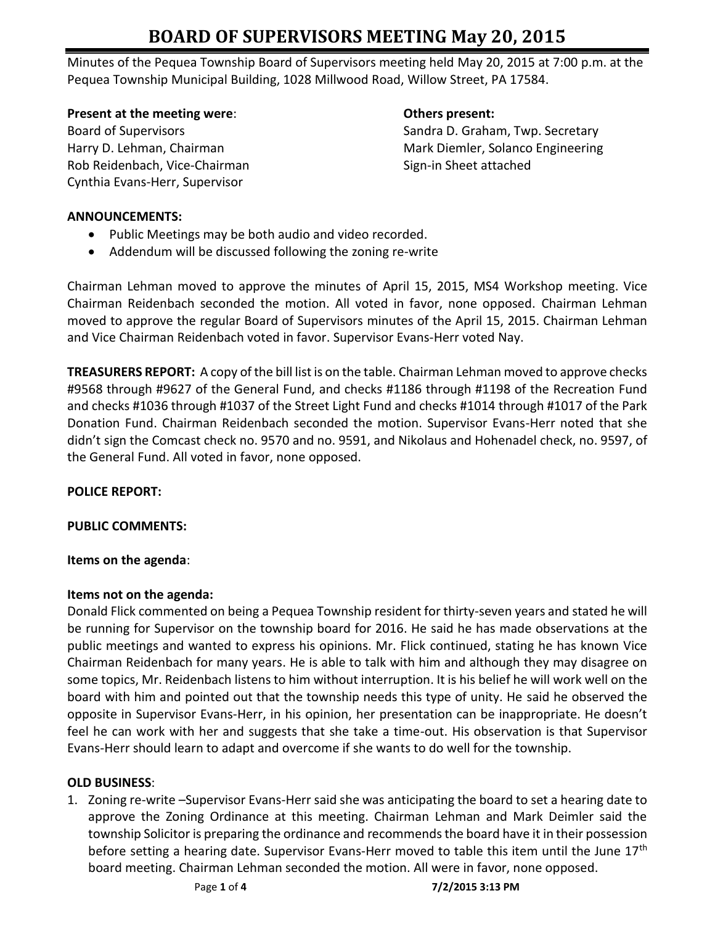# **BOARD OF SUPERVISORS MEETING May 20, 2015**

Minutes of the Pequea Township Board of Supervisors meeting held May 20, 2015 at 7:00 p.m. at the Pequea Township Municipal Building, 1028 Millwood Road, Willow Street, PA 17584.

**Present at the meeting were: CHE SENSING MEET ALLOCATE SENSING MEET ALLOCATE SENSING MEET ALLOCATE SENSING MEET ALLOCATE SENSING MEET ALLOCATE SENSING MEET ALLOCATE SENSING MEET ALLOCATE SENSING MEET ALLOCATE SENSING ME** 

Rob Reidenbach, Vice-Chairman Sign-in Sheet attached Cynthia Evans-Herr, Supervisor

Board of Supervisors Sandra D. Graham, Twp. Secretary Harry D. Lehman, Chairman Mark Diemler, Solanco Engineering

# **ANNOUNCEMENTS:**

- Public Meetings may be both audio and video recorded.
- Addendum will be discussed following the zoning re-write

Chairman Lehman moved to approve the minutes of April 15, 2015, MS4 Workshop meeting. Vice Chairman Reidenbach seconded the motion. All voted in favor, none opposed. Chairman Lehman moved to approve the regular Board of Supervisors minutes of the April 15, 2015. Chairman Lehman and Vice Chairman Reidenbach voted in favor. Supervisor Evans-Herr voted Nay.

**TREASURERS REPORT:** A copy of the bill list is on the table. Chairman Lehman moved to approve checks #9568 through #9627 of the General Fund, and checks #1186 through #1198 of the Recreation Fund and checks #1036 through #1037 of the Street Light Fund and checks #1014 through #1017 of the Park Donation Fund. Chairman Reidenbach seconded the motion. Supervisor Evans-Herr noted that she didn't sign the Comcast check no. 9570 and no. 9591, and Nikolaus and Hohenadel check, no. 9597, of the General Fund. All voted in favor, none opposed.

# **POLICE REPORT:**

# **PUBLIC COMMENTS:**

# **Items on the agenda**:

# **Items not on the agenda:**

Donald Flick commented on being a Pequea Township resident for thirty-seven years and stated he will be running for Supervisor on the township board for 2016. He said he has made observations at the public meetings and wanted to express his opinions. Mr. Flick continued, stating he has known Vice Chairman Reidenbach for many years. He is able to talk with him and although they may disagree on some topics, Mr. Reidenbach listens to him without interruption. It is his belief he will work well on the board with him and pointed out that the township needs this type of unity. He said he observed the opposite in Supervisor Evans-Herr, in his opinion, her presentation can be inappropriate. He doesn't feel he can work with her and suggests that she take a time-out. His observation is that Supervisor Evans-Herr should learn to adapt and overcome if she wants to do well for the township.

# **OLD BUSINESS**:

1. Zoning re-write –Supervisor Evans-Herr said she was anticipating the board to set a hearing date to approve the Zoning Ordinance at this meeting. Chairman Lehman and Mark Deimler said the township Solicitor is preparing the ordinance and recommends the board have it in their possession before setting a hearing date. Supervisor Evans-Herr moved to table this item until the June 17<sup>th</sup> board meeting. Chairman Lehman seconded the motion. All were in favor, none opposed.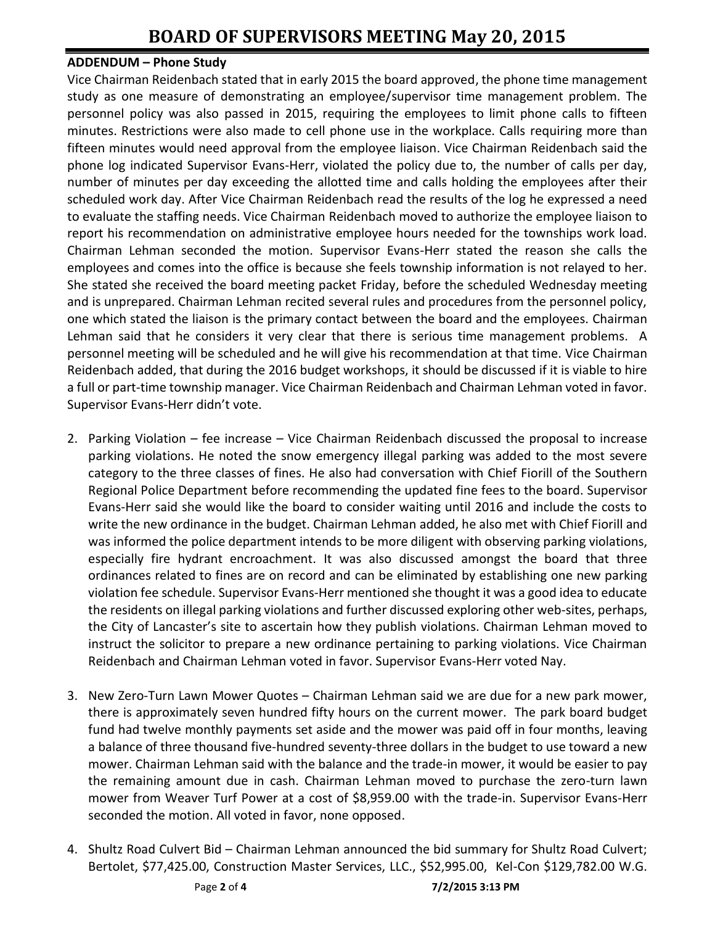#### **ADDENDUM – Phone Study**

Vice Chairman Reidenbach stated that in early 2015 the board approved, the phone time management study as one measure of demonstrating an employee/supervisor time management problem. The personnel policy was also passed in 2015, requiring the employees to limit phone calls to fifteen minutes. Restrictions were also made to cell phone use in the workplace. Calls requiring more than fifteen minutes would need approval from the employee liaison. Vice Chairman Reidenbach said the phone log indicated Supervisor Evans-Herr, violated the policy due to, the number of calls per day, number of minutes per day exceeding the allotted time and calls holding the employees after their scheduled work day. After Vice Chairman Reidenbach read the results of the log he expressed a need to evaluate the staffing needs. Vice Chairman Reidenbach moved to authorize the employee liaison to report his recommendation on administrative employee hours needed for the townships work load. Chairman Lehman seconded the motion. Supervisor Evans-Herr stated the reason she calls the employees and comes into the office is because she feels township information is not relayed to her. She stated she received the board meeting packet Friday, before the scheduled Wednesday meeting and is unprepared. Chairman Lehman recited several rules and procedures from the personnel policy, one which stated the liaison is the primary contact between the board and the employees. Chairman Lehman said that he considers it very clear that there is serious time management problems. A personnel meeting will be scheduled and he will give his recommendation at that time. Vice Chairman Reidenbach added, that during the 2016 budget workshops, it should be discussed if it is viable to hire a full or part-time township manager. Vice Chairman Reidenbach and Chairman Lehman voted in favor. Supervisor Evans-Herr didn't vote.

- 2. Parking Violation fee increase Vice Chairman Reidenbach discussed the proposal to increase parking violations. He noted the snow emergency illegal parking was added to the most severe category to the three classes of fines. He also had conversation with Chief Fiorill of the Southern Regional Police Department before recommending the updated fine fees to the board. Supervisor Evans-Herr said she would like the board to consider waiting until 2016 and include the costs to write the new ordinance in the budget. Chairman Lehman added, he also met with Chief Fiorill and was informed the police department intends to be more diligent with observing parking violations, especially fire hydrant encroachment. It was also discussed amongst the board that three ordinances related to fines are on record and can be eliminated by establishing one new parking violation fee schedule. Supervisor Evans-Herr mentioned she thought it was a good idea to educate the residents on illegal parking violations and further discussed exploring other web-sites, perhaps, the City of Lancaster's site to ascertain how they publish violations. Chairman Lehman moved to instruct the solicitor to prepare a new ordinance pertaining to parking violations. Vice Chairman Reidenbach and Chairman Lehman voted in favor. Supervisor Evans-Herr voted Nay.
- 3. New Zero-Turn Lawn Mower Quotes Chairman Lehman said we are due for a new park mower, there is approximately seven hundred fifty hours on the current mower. The park board budget fund had twelve monthly payments set aside and the mower was paid off in four months, leaving a balance of three thousand five-hundred seventy-three dollars in the budget to use toward a new mower. Chairman Lehman said with the balance and the trade-in mower, it would be easier to pay the remaining amount due in cash. Chairman Lehman moved to purchase the zero-turn lawn mower from Weaver Turf Power at a cost of \$8,959.00 with the trade-in. Supervisor Evans-Herr seconded the motion. All voted in favor, none opposed.
- 4. Shultz Road Culvert Bid Chairman Lehman announced the bid summary for Shultz Road Culvert; Bertolet, \$77,425.00, Construction Master Services, LLC., \$52,995.00, Kel-Con \$129,782.00 W.G.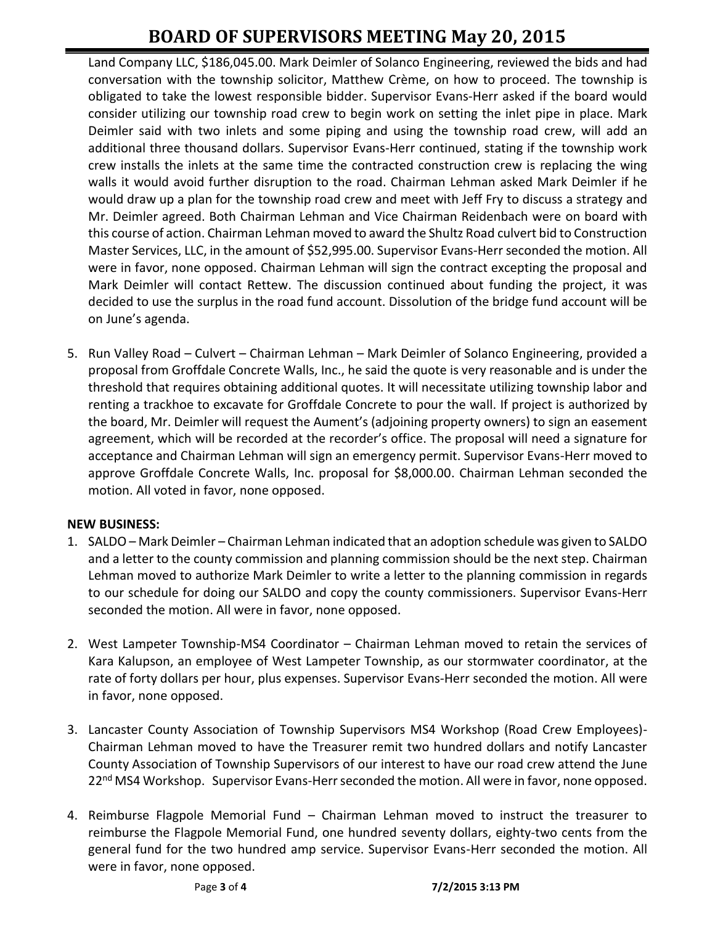# **BOARD OF SUPERVISORS MEETING May 20, 2015**

Land Company LLC, \$186,045.00. Mark Deimler of Solanco Engineering, reviewed the bids and had conversation with the township solicitor, Matthew Crème, on how to proceed. The township is obligated to take the lowest responsible bidder. Supervisor Evans-Herr asked if the board would consider utilizing our township road crew to begin work on setting the inlet pipe in place. Mark Deimler said with two inlets and some piping and using the township road crew, will add an additional three thousand dollars. Supervisor Evans-Herr continued, stating if the township work crew installs the inlets at the same time the contracted construction crew is replacing the wing walls it would avoid further disruption to the road. Chairman Lehman asked Mark Deimler if he would draw up a plan for the township road crew and meet with Jeff Fry to discuss a strategy and Mr. Deimler agreed. Both Chairman Lehman and Vice Chairman Reidenbach were on board with this course of action. Chairman Lehman moved to award the Shultz Road culvert bid to Construction Master Services, LLC, in the amount of \$52,995.00. Supervisor Evans-Herr seconded the motion. All were in favor, none opposed. Chairman Lehman will sign the contract excepting the proposal and Mark Deimler will contact Rettew. The discussion continued about funding the project, it was decided to use the surplus in the road fund account. Dissolution of the bridge fund account will be on June's agenda.

5. Run Valley Road – Culvert – Chairman Lehman – Mark Deimler of Solanco Engineering, provided a proposal from Groffdale Concrete Walls, Inc., he said the quote is very reasonable and is under the threshold that requires obtaining additional quotes. It will necessitate utilizing township labor and renting a trackhoe to excavate for Groffdale Concrete to pour the wall. If project is authorized by the board, Mr. Deimler will request the Aument's (adjoining property owners) to sign an easement agreement, which will be recorded at the recorder's office. The proposal will need a signature for acceptance and Chairman Lehman will sign an emergency permit. Supervisor Evans-Herr moved to approve Groffdale Concrete Walls, Inc. proposal for \$8,000.00. Chairman Lehman seconded the motion. All voted in favor, none opposed.

## **NEW BUSINESS:**

- 1. SALDO Mark Deimler Chairman Lehman indicated that an adoption schedule was given to SALDO and a letter to the county commission and planning commission should be the next step. Chairman Lehman moved to authorize Mark Deimler to write a letter to the planning commission in regards to our schedule for doing our SALDO and copy the county commissioners. Supervisor Evans-Herr seconded the motion. All were in favor, none opposed.
- 2. West Lampeter Township-MS4 Coordinator Chairman Lehman moved to retain the services of Kara Kalupson, an employee of West Lampeter Township, as our stormwater coordinator, at the rate of forty dollars per hour, plus expenses. Supervisor Evans-Herr seconded the motion. All were in favor, none opposed.
- 3. Lancaster County Association of Township Supervisors MS4 Workshop (Road Crew Employees)- Chairman Lehman moved to have the Treasurer remit two hundred dollars and notify Lancaster County Association of Township Supervisors of our interest to have our road crew attend the June 22<sup>nd</sup> MS4 Workshop. Supervisor Evans-Herr seconded the motion. All were in favor, none opposed.
- 4. Reimburse Flagpole Memorial Fund Chairman Lehman moved to instruct the treasurer to reimburse the Flagpole Memorial Fund, one hundred seventy dollars, eighty-two cents from the general fund for the two hundred amp service. Supervisor Evans-Herr seconded the motion. All were in favor, none opposed.